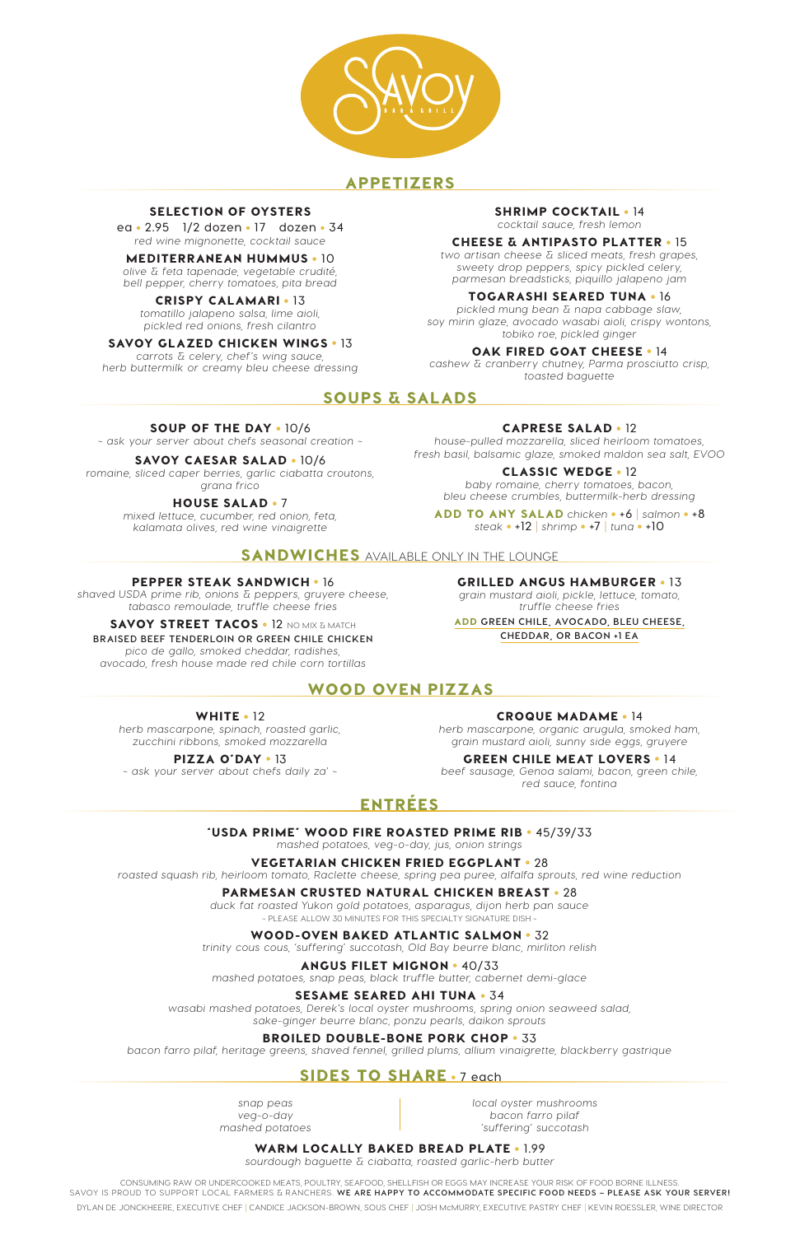

## APPETIZERS

## SOUPS & SALADS

## WOOD OVEN PIZZAS

## ENTRÉES

#### 'USDA PRIME' WOOD FIRE ROASTED PRIME RIB ° **45/39/33**

*mashed potatoes, veg-o-day, jus, onion strings*

#### VEGETARIAN CHICKEN FRIED EGGPLANT ° **28**

*roasted squash rib, heirloom tomato, Raclette cheese, spring pea puree, alfalfa sprouts, red wine reduction*

## PARMESAN CRUSTED NATURAL CHICKEN BREAST ° **28**

*duck fat roasted Yukon gold potatoes, asparagus, dijon herb pan sauce* ~ PLEASE ALLOW 30 MINUTES FOR THIS SPECIALTY SIGNATURE DISH ~

#### WOOD-OVEN BAKED ATLANTIC SALMON ° **32**

*trinity cous cous, 'suffering' succotash, Old Bay beurre blanc, mirliton relish*

#### ANGUS FILET MIGNON ° **40/33**

*mashed potatoes, snap peas, black truffle butter, cabernet demi-glace*

#### SESAME SEARED AHI TUNA ° **34**

*wasabi mashed potatoes, Derek's local oyster mushrooms, spring onion seaweed salad, sake-ginger beurre blanc, ponzu pearls, daikon sprouts*

#### BROILED DOUBLE-BONE PORK CHOP ° **33**

*bacon farro pilaf, heritage greens, shaved fennel, grilled plums, allium vinaigrette, blackberry gastrique*

#### SOUP OF THE DAY ° **10/6**

*~ ask your server about chefs seasonal creation ~*

#### SAVOY CAESAR SALAD ° **10/6**

*romaine, sliced caper berries, garlic ciabatta croutons, grana frico*

#### HOUSE SALAD ° **7**

*mixed lettuce, cucumber, red onion, feta, kalamata olives, red wine vinaigrette*

#### CAPRESE SALAD ° **12**

*house-pulled mozzarella, sliced heirloom tomatoes, fresh basil, balsamic glaze, smoked maldon sea salt, EVOO*

#### CLASSIC WEDGE ° **12**

*baby romaine, cherry tomatoes, bacon, bleu cheese crumbles, buttermilk-herb dressing*

CONSUMING RAW OR UNDERCOOKED MEATS, POULTRY, SEAFOOD, SHELLFISH OR EGGS MAY INCREASE YOUR RISK OF FOOD BORNE ILLNESS. SAVOY IS PROUD TO SUPPORT LOCAL FARMERS & RANCHERS. **WE ARE HAPPY TO ACCOMMODATE SPECIFIC FOOD NEEDS – PLEASE ASK YOUR SERVER!** DYLAN DE JONCKHEERE, EXECUTIVE CHEF | CANDICE JACKSON-BROWN, SOUS CHEF | JOSH McMURRY, EXECUTIVE PASTRY CHEF | KEVIN ROESSLER, WINE DIRECTOR

ADD TO ANY SALAD *chicken* ° **+6** | *salmon* ° **+8** *steak* ° **+12** | *shrimp* ° **+7** | *tuna* ° **+10**

## SANDWICHES AVAILABLE ONLY IN THE LOUNGE

#### SELECTION OF OYSTERS

**ea** ° **2.95 1/2 dozen** ° **17 dozen** ° **34** *red wine mignonette, cocktail sauce*

#### MEDITERRANEAN HUMMUS ° **10**

*olive & feta tapenade, vegetable crudité, bell pepper, cherry tomatoes, pita bread*

#### CRISPY CALAMARI ° **13**

*tomatillo jalapeno salsa, lime aioli, pickled red onions, fresh cilantro*

#### SAVOY GLAZED CHICKEN WINGS ° **13**

*carrots & celery, chef's wing sauce, herb buttermilk or creamy bleu cheese dressing*

#### SHRIMP COCKTAIL ° **14**

*cocktail sauce, fresh lemon*

#### CHEESE & ANTIPASTO PLATTER ° **15**

*two artisan cheese & sliced meats, fresh grapes, sweety drop peppers, spicy pickled celery, parmesan breadsticks, piquillo jalapeno jam*

#### TOGARASHI SEARED TUNA ° **16**

*pickled mung bean & napa cabbage slaw, soy mirin glaze, avocado wasabi aioli, crispy wontons, tobiko roe, pickled ginger*

#### OAK FIRED GOAT CHEESE ° **14**

*cashew & cranberry chutney, Parma prosciutto crisp, toasted baguette*

#### WHITE ° **12**

*herb mascarpone, spinach, roasted garlic, zucchini ribbons, smoked mozzarella*

## PIZZA O'DAY ° **13**

*~ ask your server about chefs daily za' ~*

CROQUE MADAME ° **14**

*herb mascarpone, organic arugula, smoked ham, grain mustard aioli, sunny side eggs, gruyere*

## GREEN CHILE MEAT LOVERS ° **14**

*beef sausage, Genoa salami, bacon, green chile, red sauce, fontina*

*snap peas veg-o-day mashed potatoes*

## SIDES TO SHARE ° **7 each**

*local oyster mushrooms bacon farro pilaf 'suffering' succotash*

#### WARM LOCALLY BAKED BREAD PLATE ° **1.99**

*sourdough baguette & ciabatta, roasted garlic-herb butter*

#### PEPPER STEAK SANDWICH ° **16**

*shaved USDA prime rib, onions & peppers, gruyere cheese, tabasco remoulade, truffle cheese fries*

#### SAVOY STREET TACOS ° **12** NO MIX & MATCH

#### **BRAISED BEEF TENDERLOIN OR GREEN CHILE CHICKEN**

*pico de gallo, smoked cheddar, radishes, avocado, fresh house made red chile corn tortillas* GRILLED ANGUS HAMBURGER ° **13**

*grain mustard aioli, pickle, lettuce, tomato, truffle cheese fries*

ADD **GREEN CHILE, AVOCADO, BLEU CHEESE, CHEDDAR, OR BACON +1 EA**